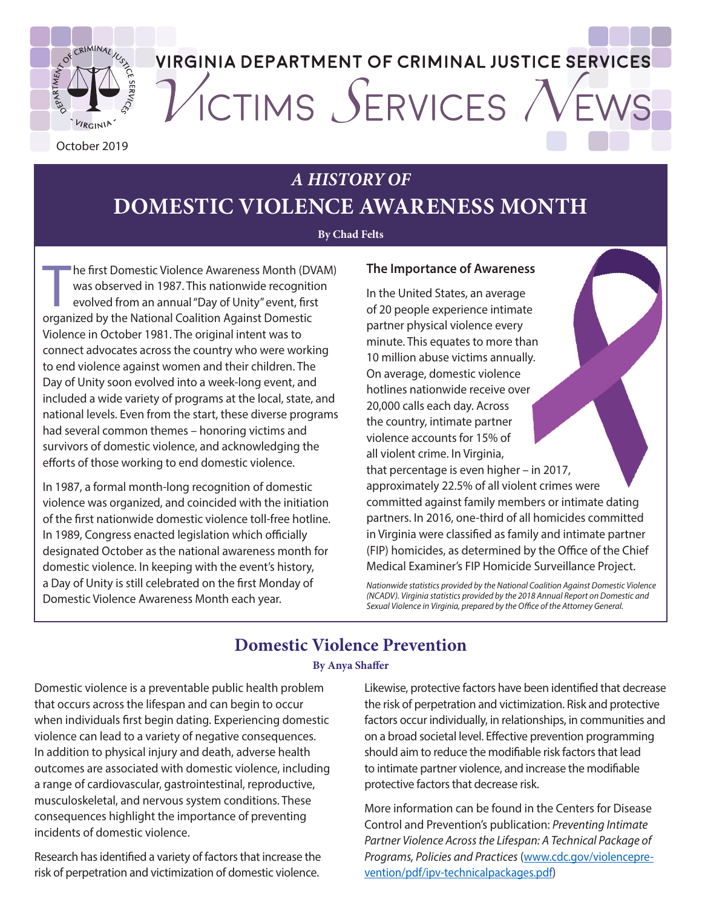

# **VIRGINIA DEPARTMENT OF CRIMINAL JUSTICE SERVICES** VICTIMS SERVICES

October 2019

# *A HISTORY OF*

# **DOMESTIC VIOLENCE AWARENESS MONTH**

#### **By Chad Felts**

The first Domestic Violence Awareness Month (DV was observed in 1987. This nationwide recognitional Coalition Against Domestic organized by the National Coalition Against Domestic he first Domestic Violence Awareness Month (DVAM) was observed in 1987. This nationwide recognition evolved from an annual "Day of Unity" event, first Violence in October 1981. The original intent was to connect advocates across the country who were working to end violence against women and their children. The Day of Unity soon evolved into a week-long event, and included a wide variety of programs at the local, state, and national levels. Even from the start, these diverse programs had several common themes – honoring victims and survivors of domestic violence, and acknowledging the efforts of those working to end domestic violence.

In 1987, a formal month-long recognition of domestic violence was organized, and coincided with the initiation of the first nationwide domestic violence toll-free hotline. In 1989, Congress enacted legislation which officially designated October as the national awareness month for domestic violence. In keeping with the event's history, a Day of Unity is still celebrated on the first Monday of Domestic Violence Awareness Month each year.

#### **The Importance of Awareness**

In the United States, an average of 20 people experience intimate partner physical violence every minute. This equates to more than 10 million abuse victims annually. On average, domestic violence hotlines nationwide receive over 20,000 calls each day. Across the country, intimate partner violence accounts for 15% of all violent crime. In Virginia, that percentage is even higher – in 2017, approximately 22.5% of all violent crimes were committed against family members or intimate dating partners. In 2016, one-third of all homicides committed in Virginia were classified as family and intimate partner (FIP) homicides, as determined by the Office of the Chief Medical Examiner's FIP Homicide Surveillance Project.

*Nationwide statistics provided by the National Coalition Against Domestic Violence (NCADV). Virginia statistics provided by the 2018 Annual Report on Domestic and Sexual Violence in Virginia, prepared by the Office of the Attorney General.* 

# **Domestic Violence Prevention**

#### **By Anya Shaffer**

Domestic violence is a preventable public health problem that occurs across the lifespan and can begin to occur when individuals first begin dating. Experiencing domestic violence can lead to a variety of negative consequences. In addition to physical injury and death, adverse health outcomes are associated with domestic violence, including a range of cardiovascular, gastrointestinal, reproductive, musculoskeletal, and nervous system conditions. These consequences highlight the importance of preventing incidents of domestic violence.

Research has identified a variety of factors that increase the risk of perpetration and victimization of domestic violence.

Likewise, protective factors have been identified that decrease the risk of perpetration and victimization. Risk and protective factors occur individually, in relationships, in communities and on a broad societal level. Effective prevention programming should aim to reduce the modifiable risk factors that lead to intimate partner violence, and increase the modifiable protective factors that decrease risk.

More information can be found in the Centers for Disease Control and Prevention's publication: *Preventing Intimate Partner Violence Across the Lifespan: A Technical Package of Programs, Policies and Practices* [\(www.cdc.gov/violencepre](https://www.cdc.gov/violenceprevention/pdf/ipv-technicalpackages.pdf)[vention/pdf/ipv-technicalpackages.pdf](https://www.cdc.gov/violenceprevention/pdf/ipv-technicalpackages.pdf))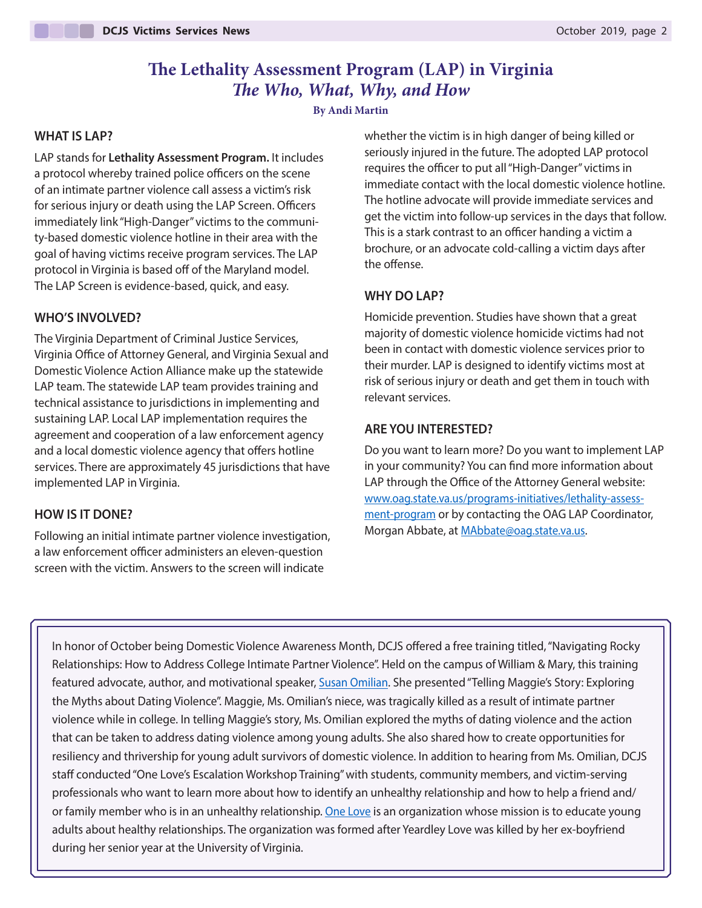# **The Lethality Assessment Program (LAP) in Virginia** *The Who, What, Why, and How*

**By Andi Martin**

#### **WHAT IS LAP?**

LAP stands for **Lethality Assessment Program.** It includes a protocol whereby trained police officers on the scene of an intimate partner violence call assess a victim's risk for serious injury or death using the LAP Screen. Officers immediately link "High-Danger" victims to the community-based domestic violence hotline in their area with the goal of having victims receive program services. The LAP protocol in Virginia is based off of the Maryland model. The LAP Screen is evidence-based, quick, and easy.

#### **WHO'S INVOLVED?**

The Virginia Department of Criminal Justice Services, Virginia Office of Attorney General, and Virginia Sexual and Domestic Violence Action Alliance make up the statewide LAP team. The statewide LAP team provides training and technical assistance to jurisdictions in implementing and sustaining LAP. Local LAP implementation requires the agreement and cooperation of a law enforcement agency and a local domestic violence agency that offers hotline services. There are approximately 45 jurisdictions that have implemented LAP in Virginia.

#### **HOW IS IT DONE?**

Following an initial intimate partner violence investigation, a law enforcement officer administers an eleven-question screen with the victim. Answers to the screen will indicate

whether the victim is in high danger of being killed or seriously injured in the future. The adopted LAP protocol requires the officer to put all "High-Danger" victims in immediate contact with the local domestic violence hotline. The hotline advocate will provide immediate services and get the victim into follow-up services in the days that follow. This is a stark contrast to an officer handing a victim a brochure, or an advocate cold-calling a victim days after the offense.

#### **WHY DO LAP?**

Homicide prevention. Studies have shown that a great majority of domestic violence homicide victims had not been in contact with domestic violence services prior to their murder. LAP is designed to identify victims most at risk of serious injury or death and get them in touch with relevant services.

#### **ARE YOU INTERESTED?**

Do you want to learn more? Do you want to implement LAP in your community? You can find more information about LAP through the Office of the Attorney General website: [www.oag.state.va.us/programs-initiatives/lethality-assess](https://www.oag.state.va.us/programs-initiatives/lethality-assessment-program)[ment-program](https://www.oag.state.va.us/programs-initiatives/lethality-assessment-program) or by contacting the OAG LAP Coordinator, Morgan Abbate, at [MAbbate@oag.state.va.us](mailto:MAbbate@oag.state.va.us).

In honor of October being Domestic Violence Awareness Month, DCJS offered a free training titled, "Navigating Rocky Relationships: How to Address College Intimate Partner Violence". Held on the campus of William & Mary, this training featured advocate, author, and motivational speaker, [Susan Omilian.](https://thriverzone.com/about/) She presented "Telling Maggie's Story: Exploring the Myths about Dating Violence". Maggie, Ms. Omilian's niece, was tragically killed as a result of intimate partner violence while in college. In telling Maggie's story, Ms. Omilian explored the myths of dating violence and the action that can be taken to address dating violence among young adults. She also shared how to create opportunities for resiliency and thrivership for young adult survivors of domestic violence. In addition to hearing from Ms. Omilian, DCJS staff conducted "One Love's Escalation Workshop Training" with students, community members, and victim-serving professionals who want to learn more about how to identify an unhealthy relationship and how to help a friend and/ or family member who is in an unhealthy relationship. [One Love i](https://www.joinonelove.org/)s an organization whose mission is to educate young adults about healthy relationships. The organization was formed after Yeardley Love was killed by her ex-boyfriend during her senior year at the University of Virginia.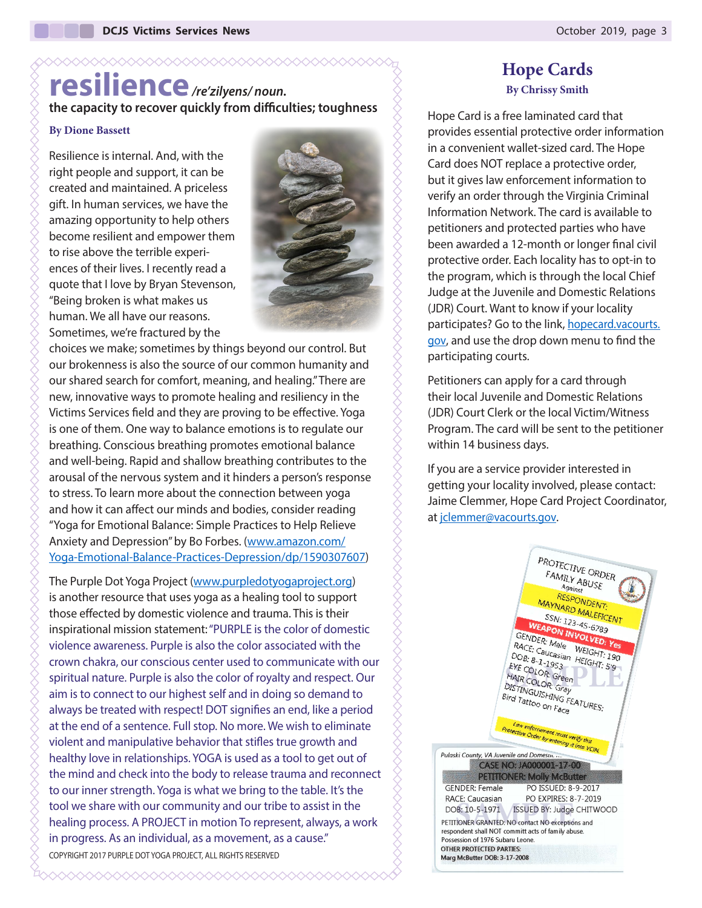# **resilience***/re'zilyens/ noun.*  **the capacity to recover quickly from difficulties; toughness**

XXXXXXXXXXXXXXXXXXXXXXXXXXXXXXXX

#### **By Dione Bassett**

Resilience is internal. And, with the right people and support, it can be created and maintained. A priceless gift. In human services, we have the amazing opportunity to help others become resilient and empower them to rise above the terrible experiences of their lives. I recently read a quote that I love by Bryan Stevenson, "Being broken is what makes us human. We all have our reasons. Sometimes, we're fractured by the



choices we make; sometimes by things beyond our control. But our brokenness is also the source of our common humanity and our shared search for comfort, meaning, and healing." There are new, innovative ways to promote healing and resiliency in the Victims Services field and they are proving to be effective. Yoga is one of them. One way to balance emotions is to regulate our breathing. Conscious breathing promotes emotional balance and well-being. Rapid and shallow breathing contributes to the arousal of the nervous system and it hinders a person's response to stress. To learn more about the connection between yoga and how it can affect our minds and bodies, consider reading "Yoga for Emotional Balance: Simple Practices to Help Relieve Anxiety and Depression" by Bo Forbes. ([www.amazon.com/](https://www.amazon.com/Yoga-Emotional-Balance-Practices-Depression/dp/1590307607) [Yoga-Emotional-Balance-Practices-Depression/dp/1590307607\)](https://www.amazon.com/Yoga-Emotional-Balance-Practices-Depression/dp/1590307607)

The Purple Dot Yoga Project ([www.purpledotyogaproject.org](https://www.purpledotyogaproject.org/)) is another resource that uses yoga as a healing tool to support those effected by domestic violence and trauma. This is their inspirational mission statement: "PURPLE is the color of domestic violence awareness. Purple is also the color associated with the crown chakra, our conscious center used to communicate with our spiritual nature. Purple is also the color of royalty and respect. Our aim is to connect to our highest self and in doing so demand to always be treated with respect! DOT signifies an end, like a period at the end of a sentence. Full stop. No more. We wish to eliminate violent and manipulative behavior that stifles true growth and healthy love in relationships. YOGA is used as a tool to get out of the mind and check into the body to release trauma and reconnect to our inner strength. Yoga is what we bring to the table. It's the tool we share with our community and our tribe to assist in the healing process. A PROJECT in motion To represent, always, a work in progress. As an individual, as a movement, as a cause." COPYRIGHT 2017 PURPLE DOT YOGA PROJECT, ALL RIGHTS RESERVED

XXXXXXXXXXXXXXXXXXXXXXXXXXXXX

### **Hope Cards By Chrissy Smith**

Hope Card is a free laminated card that provides essential protective order information in a convenient wallet-sized card. The Hope Card does NOT replace a protective order, but it gives law enforcement information to verify an order through the Virginia Criminal Information Network. The card is available to petitioners and protected parties who have been awarded a 12-month or longer final civil protective order. Each locality has to opt-in to the program, which is through the local Chief Judge at the Juvenile and Domestic Relations (JDR) Court. Want to know if your locality participates? Go to the link, [hopecard.vacourts.](http://hopecard.vacourts.gov/) [gov](http://hopecard.vacourts.gov/), and use the drop down menu to find the participating courts.

Petitioners can apply for a card through their local Juvenile and Domestic Relations (JDR) Court Clerk or the local Victim/Witness Program. The card will be sent to the petitioner within 14 business days.

If you are a service provider interested in getting your locality involved, please contact: Jaime Clemmer, Hope Card Project Coordinator, at [jclemmer@vacourts.gov](mailto:jclemmer@vacourts.gov).

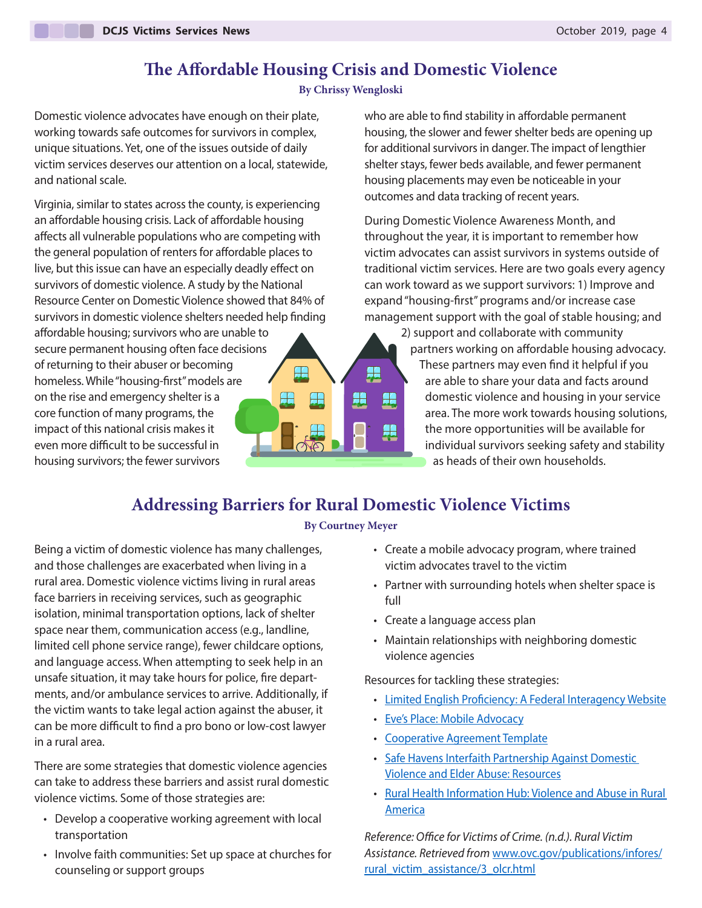# **The Affordable Housing Crisis and Domestic Violence**

#### **By Chrissy Wengloski**

Domestic violence advocates have enough on their plate, working towards safe outcomes for survivors in complex, unique situations. Yet, one of the issues outside of daily victim services deserves our attention on a local, statewide, and national scale.

Virginia, similar to states across the county, is experiencing an affordable housing crisis. Lack of affordable housing affects all vulnerable populations who are competing with the general population of renters for affordable places to live, but this issue can have an especially deadly effect on survivors of domestic violence. A study by the National Resource Center on Domestic Violence showed that 84% of survivors in domestic violence shelters needed help finding

affordable housing; survivors who are unable to secure permanent housing often face decisions of returning to their abuser or becoming homeless. While "housing-first" models are on the rise and emergency shelter is a core function of many programs, the impact of this national crisis makes it even more difficult to be successful in housing survivors; the fewer survivors



who are able to find stability in affordable permanent housing, the slower and fewer shelter beds are opening up for additional survivors in danger. The impact of lengthier shelter stays, fewer beds available, and fewer permanent housing placements may even be noticeable in your outcomes and data tracking of recent years.

During Domestic Violence Awareness Month, and throughout the year, it is important to remember how victim advocates can assist survivors in systems outside of traditional victim services. Here are two goals every agency can work toward as we support survivors: 1) Improve and expand "housing-first" programs and/or increase case management support with the goal of stable housing; and

> 2) support and collaborate with community partners working on affordable housing advocacy. These partners may even find it helpful if you are able to share your data and facts around domestic violence and housing in your service area. The more work towards housing solutions, the more opportunities will be available for individual survivors seeking safety and stability as heads of their own households.

# **Addressing Barriers for Rural Domestic Violence Victims**

#### **By Courtney Meyer**

Being a victim of domestic violence has many challenges, and those challenges are exacerbated when living in a rural area. Domestic violence victims living in rural areas face barriers in receiving services, such as geographic isolation, minimal transportation options, lack of shelter space near them, communication access (e.g., landline, limited cell phone service range), fewer childcare options, and language access. When attempting to seek help in an unsafe situation, it may take hours for police, fire departments, and/or ambulance services to arrive. Additionally, if the victim wants to take legal action against the abuser, it can be more difficult to find a pro bono or low-cost lawyer in a rural area.

There are some strategies that domestic violence agencies can take to address these barriers and assist rural domestic violence victims. Some of those strategies are:

- Develop a cooperative working agreement with local transportation
- Involve faith communities: Set up space at churches for counseling or support groups
- Create a mobile advocacy program, where trained victim advocates travel to the victim
- Partner with surrounding hotels when shelter space is full
- Create a language access plan
- Maintain relationships with neighboring domestic violence agencies

Resources for tackling these strategies:

- [Limited English Proficiency: A Federal Interagency Website](https://www.lep.gov/)
- [Eve's Place: Mobile Advocacy](https://www.evesplace.org/services)
- [Cooperative Agreement Template](https://nnedv.org/resources-library/mou-template/)
- [Safe Havens Interfaith Partnership Against Domestic](https://www.interfaithpartners.org/rural)  [Violence and Elder Abuse: Resources](https://www.interfaithpartners.org/rural)
- [Rural Health Information Hub: Violence and Abuse in Rural](https://www.ruralhealthinfo.org/topics/violence-and-abuse)  [America](https://www.ruralhealthinfo.org/topics/violence-and-abuse)

*Reference: Office for Victims of Crime. (n.d.). Rural Victim Assistance. Retrieved from* [www.ovc.gov/publications/infores/](https://www.ovc.gov/publications/infores/rural_victim_assistance/3_olcr.html) [rural\\_victim\\_assistance/3\\_olcr.html](https://www.ovc.gov/publications/infores/rural_victim_assistance/3_olcr.html)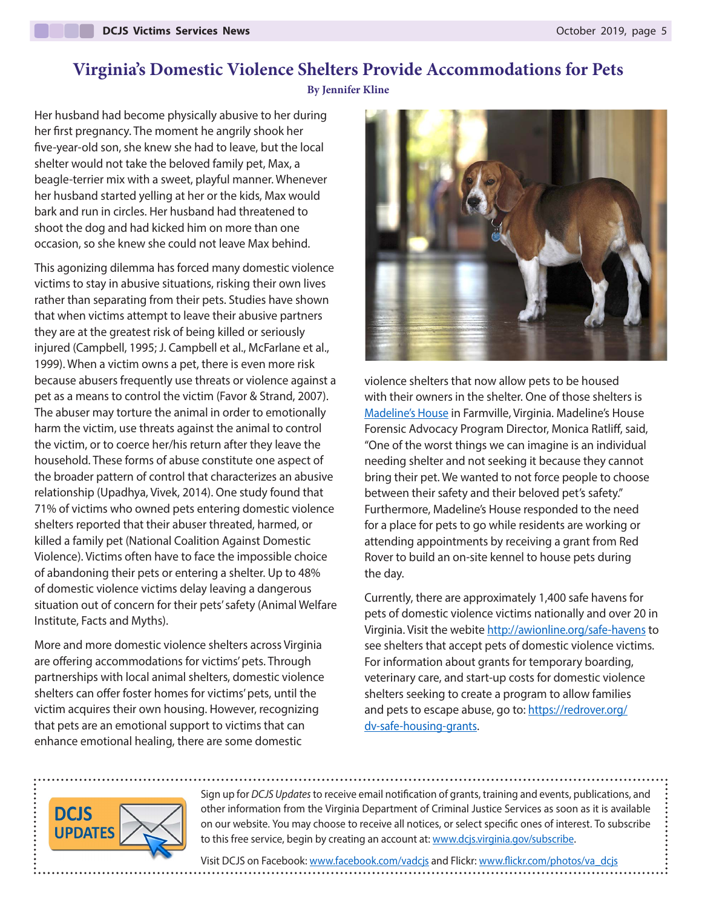# **Virginia's Domestic Violence Shelters Provide Accommodations for Pets**

**By Jennifer Kline**

Her husband had become physically abusive to her during her first pregnancy. The moment he angrily shook her five-year-old son, she knew she had to leave, but the local shelter would not take the beloved family pet, Max, a beagle-terrier mix with a sweet, playful manner. Whenever her husband started yelling at her or the kids, Max would bark and run in circles. Her husband had threatened to shoot the dog and had kicked him on more than one occasion, so she knew she could not leave Max behind.

This agonizing dilemma has forced many domestic violence victims to stay in abusive situations, risking their own lives rather than separating from their pets. Studies have shown that when victims attempt to leave their abusive partners they are at the greatest risk of being killed or seriously injured (Campbell, 1995; J. Campbell et al., McFarlane et al., 1999). When a victim owns a pet, there is even more risk because abusers frequently use threats or violence against a pet as a means to control the victim (Favor & Strand, 2007). The abuser may torture the animal in order to emotionally harm the victim, use threats against the animal to control the victim, or to coerce her/his return after they leave the household. These forms of abuse constitute one aspect of the broader pattern of control that characterizes an abusive relationship (Upadhya, Vivek, 2014). One study found that 71% of victims who owned pets entering domestic violence shelters reported that their abuser threated, harmed, or killed a family pet (National Coalition Against Domestic Violence). Victims often have to face the impossible choice of abandoning their pets or entering a shelter. Up to 48% of domestic violence victims delay leaving a dangerous situation out of concern for their pets' safety (Animal Welfare Institute, Facts and Myths).

More and more domestic violence shelters across Virginia are offering accommodations for victims' pets. Through partnerships with local animal shelters, domestic violence shelters can offer foster homes for victims' pets, until the victim acquires their own housing. However, recognizing that pets are an emotional support to victims that can enhance emotional healing, there are some domestic



violence shelters that now allow pets to be housed with their owners in the shelter. One of those shelters is [Madeline's House](https://www.scvpcares.org/Madelines-House) in Farmville, Virginia. Madeline's House Forensic Advocacy Program Director, Monica Ratliff, said, "One of the worst things we can imagine is an individual needing shelter and not seeking it because they cannot bring their pet. We wanted to not force people to choose between their safety and their beloved pet's safety." Furthermore, Madeline's House responded to the need for a place for pets to go while residents are working or attending appointments by receiving a grant from Red Rover to build an on-site kennel to house pets during the day.

Currently, there are approximately 1,400 safe havens for pets of domestic violence victims nationally and over 20 in Virginia. Visit the webite<http://awionline.org/safe-havens> to see shelters that accept pets of domestic violence victims. For information about grants for temporary boarding, veterinary care, and start-up costs for domestic violence shelters seeking to create a program to allow families and pets to escape abuse, go to: [https://redrover.org/](https://redrover.org/dv-safe-housing-grants/) [dv-safe-housing-grants](https://redrover.org/dv-safe-housing-grants/).



Sign up for *DCJS Updates* to receive email notification of grants, training and events, publications, and other information from the Virginia Department of Criminal Justice Services as soon as it is available on our website. You may choose to receive all notices, or select specific ones of interest. To subscribe to this free service, begin by creating an account at: [www.dcjs.virginia.gov/subscribe.](https://www.dcjs.virginia.gov/subscribe)

Visit DCJS on Facebook: [www.facebook.com/vadcjs](http://www.facebook.com/vadcjs) and Flickr: [www.flickr.com/photos/va\\_dcjs](http://www.flickr.com/photos/va_dcjs)